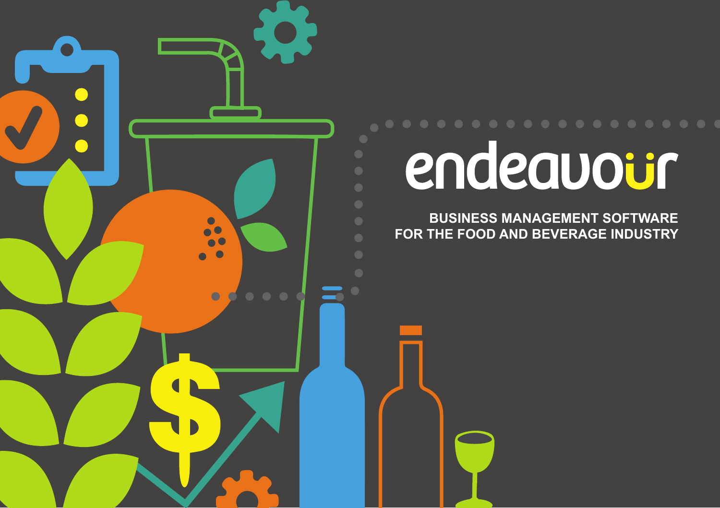

# endeavour

**BUSINESS MANAGEMENT SOFTWARE FOR THE FOOD AND BEVERAGE INDUSTRY**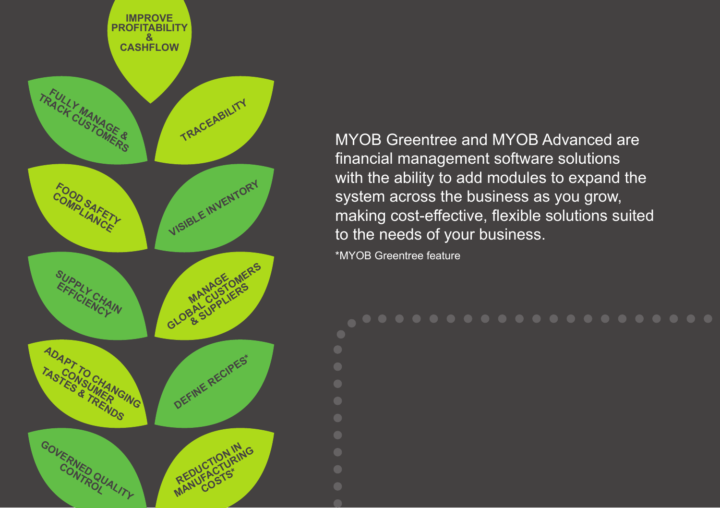

MYOB Greentree and MYOB Advanced are financial management software solutions with the ability to add modules to expand the system across the business as you grow, making cost-effective, flexible solutions suited to the needs of your business. \*MYOB Greentree feature

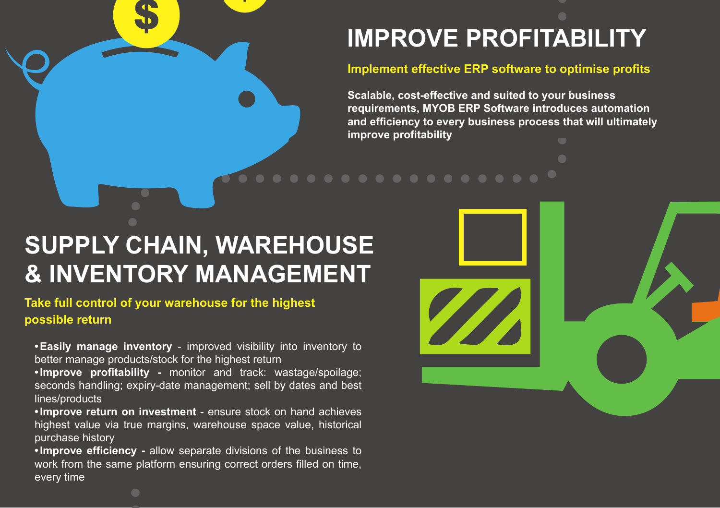# **IMPROVE PROFITABILITY**

### **Implement effective ERP software to optimise profits**

**Scalable, cost-effective and suited to your business requirements, MYOB ERP Software introduces automation and efficiency to every business process that will ultimately improve profitability**

## **SUPPLY CHAIN, WAREHOUSE & INVENTORY MANAGEMENT**

**Take full control of your warehouse for the highest possible return**

**•Easily manage inventory** - improved visibility into inventory to better manage products/stock for the highest return

**•Improve profitability -** monitor and track: wastage/spoilage; seconds handling; expiry-date management; sell by dates and best lines/products

**•Improve return on investment** - ensure stock on hand achieves highest value via true margins, warehouse space value, historical purchase history

**•Improve efficiency -** allow separate divisions of the business to work from the same platform ensuring correct orders filled on time, every time

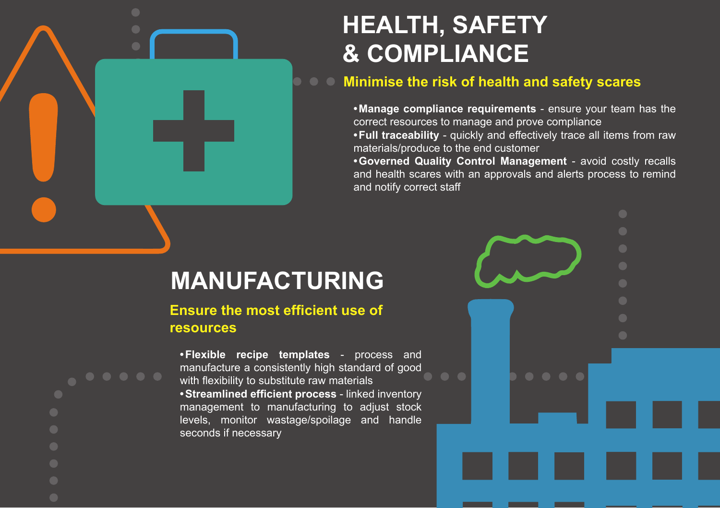## **HEALTH, SAFETY & COMPLIANCE**

## **Minimise the risk of health and safety scares**

**•Manage compliance requirements** - ensure your team has the correct resources to manage and prove compliance **•Full traceability** - quickly and effectively trace all items from raw materials/produce to the end customer

**•Governed Quality Control Management** - avoid costly recalls and health scares with an approvals and alerts process to remind and notify correct staff

## **MANUFACTURING**

## **Ensure the most efficient use of resources**

**•Flexible recipe templates** - process and manufacture a consistently high standard of good with flexibility to substitute raw materials **•Streamlined efficient process** - linked inventory management to manufacturing to adjust stock levels, monitor wastage/spoilage and handle seconds if necessary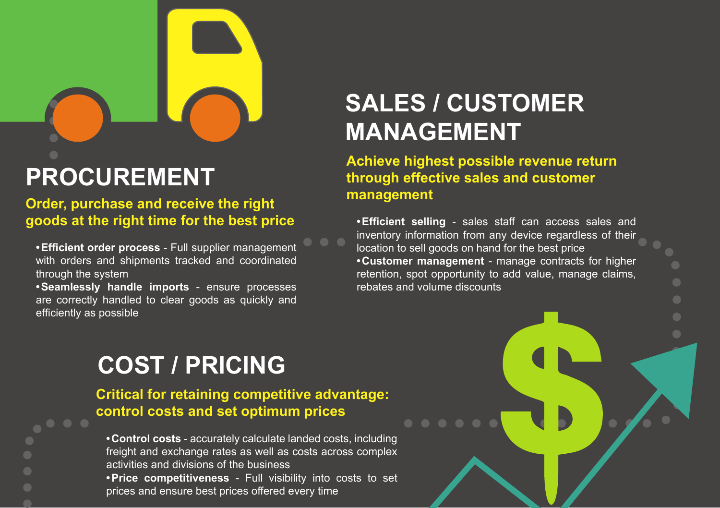# **PROCUREMENT**

**Order, purchase and receive the right goods at the right time for the best price**

**•Efficient order process** - Full supplier management with orders and shipments tracked and coordinated through the system

**•Seamlessly handle imports** - ensure processes are correctly handled to clear goods as quickly and efficiently as possible

## **SALES / CUSTOMER MANAGEMENT**

**Achieve highest possible revenue return through effective sales and customer management** 

**•Efficient selling** - sales staff can access sales and inventory information from any device regardless of their location to sell goods on hand for the best price **•Customer management** - manage contracts for higher retention, spot opportunity to add value, manage claims, rebates and volume discounts

# **COST / PRICING**

**Critical for retaining competitive advantage: control costs and set optimum prices**

**•Control costs** - accurately calculate landed costs, including freight and exchange rates as well as costs across complex activities and divisions of the business **•Price competitiveness** - Full visibility into costs to set prices and ensure best prices offered every time